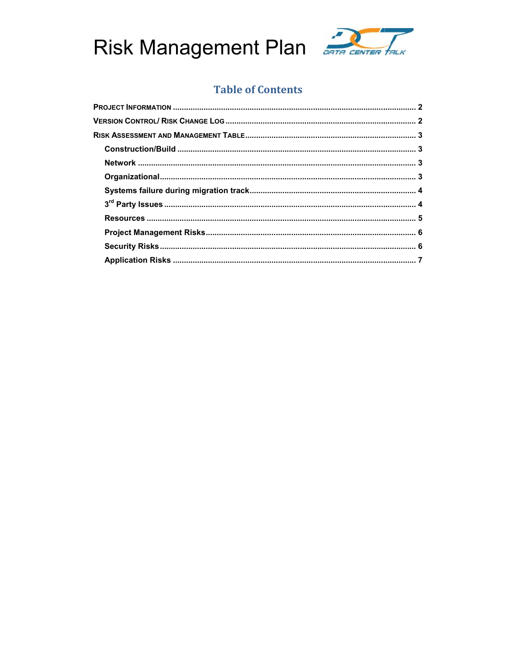



## **Table of Contents**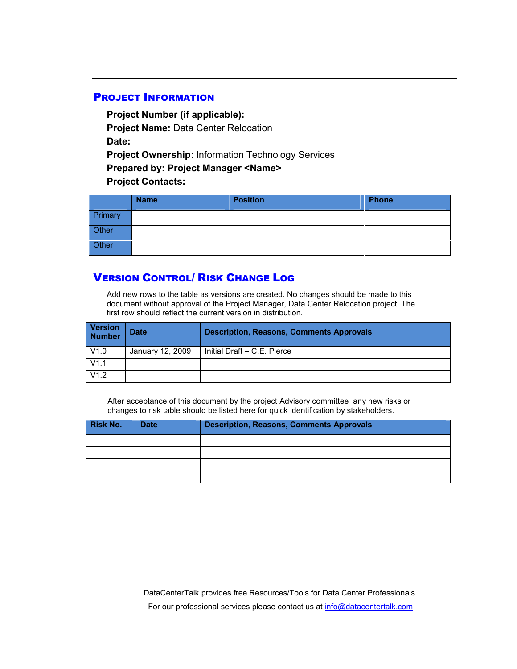## **PROJECT INFORMATION**

**Project Number (if applicable): Project Name:** Data Center Relocation **Date: Project Ownership:** Information Technology Services **Prepared by: Project Manager <Name> Project Contacts:**

|         | <b>Name</b> | <b>Position</b> | <b>Phone</b> |
|---------|-------------|-----------------|--------------|
| Primary |             |                 |              |
| Other   |             |                 |              |
| Other   |             |                 |              |

## **VERSION CONTROL/ RISK CHANGE LOG**

Add new rows to the table as versions are created. No changes should be made to this document without approval of the Project Manager, Data Center Relocation project. The first row should reflect the current version in distribution.

| <b>Version</b><br><b>Number</b> | <b>Date</b>      | <b>Description, Reasons, Comments Approvals</b> |
|---------------------------------|------------------|-------------------------------------------------|
| V1.0                            | January 12, 2009 | Initial Draft - C.E. Pierce                     |
| V1.1                            |                  |                                                 |
| V1.2                            |                  |                                                 |

After acceptance of this document by the project Advisory committee any new risks or changes to risk table should be listed here for quick identification by stakeholders.

| <b>Risk No.</b> | <b>Description, Reasons, Comments Approvals</b><br><b>Date</b> |  |  |  |  |  |
|-----------------|----------------------------------------------------------------|--|--|--|--|--|
|                 |                                                                |  |  |  |  |  |
|                 |                                                                |  |  |  |  |  |
|                 |                                                                |  |  |  |  |  |
|                 |                                                                |  |  |  |  |  |

DataCenterTalk provides free Resources/Tools for Data Center Professionals. For our professional services please contact us at info@datacentertalk.com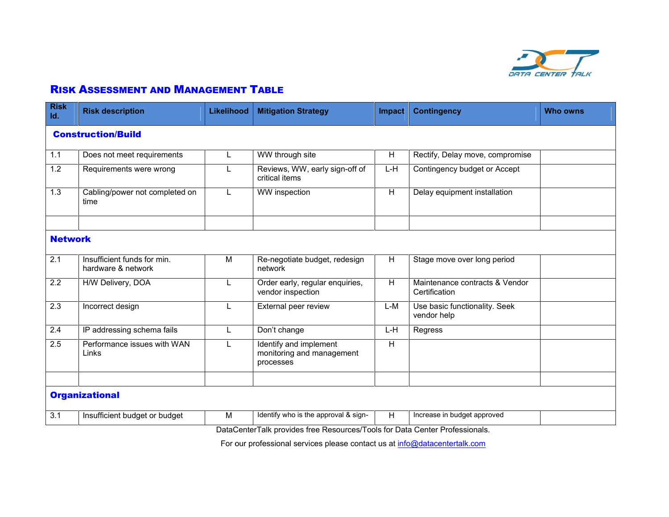

## **RISK ASSESSMENT AND MANAGEMENT TABLE**

| Id.              | <b>Risk description</b>                           | <b>Likelihood</b> | <b>Mitigation Strategy</b>                                                  | <b>Impact</b>  | <b>Contingency</b>                              | <b>Who owns</b> |
|------------------|---------------------------------------------------|-------------------|-----------------------------------------------------------------------------|----------------|-------------------------------------------------|-----------------|
|                  | <b>Construction/Build</b>                         |                   |                                                                             |                |                                                 |                 |
| 1.1              | Does not meet requirements                        | L.                | WW through site                                                             | H              | Rectify, Delay move, compromise                 |                 |
| 1.2              | Requirements were wrong                           | L                 | Reviews, WW, early sign-off of<br>critical items                            | L-H            | Contingency budget or Accept                    |                 |
| 1.3              | Cabling/power not completed on<br>time            | L                 | WW inspection                                                               | H              | Delay equipment installation                    |                 |
| <b>Network</b>   |                                                   |                   |                                                                             |                |                                                 |                 |
| 2.1              | Insufficient funds for min.<br>hardware & network | M                 | Re-negotiate budget, redesign<br>network                                    | H              | Stage move over long period                     |                 |
| $\overline{2.2}$ | H/W Delivery, DOA                                 | L                 | Order early, regular enquiries,<br>vendor inspection                        | $\overline{H}$ | Maintenance contracts & Vendor<br>Certification |                 |
| 2.3              | Incorrect design                                  | L                 | External peer review                                                        | L-M            | Use basic functionality. Seek<br>vendor help    |                 |
| 2.4              | IP addressing schema fails                        | L.                | Don't change                                                                | L-H            | Regress                                         |                 |
| 2.5              | Performance issues with WAN<br>Links              | L.                | Identify and implement<br>monitoring and management<br>processes            | H              |                                                 |                 |
|                  | <b>Organizational</b>                             |                   |                                                                             |                |                                                 |                 |
| 3.1              | Insufficient budget or budget                     | M                 | Identify who is the approval & sign-                                        | H              | Increase in budget approved                     |                 |
|                  |                                                   |                   | DataCenterTalk provides free Resources/Tools for Data Center Professionals. |                |                                                 |                 |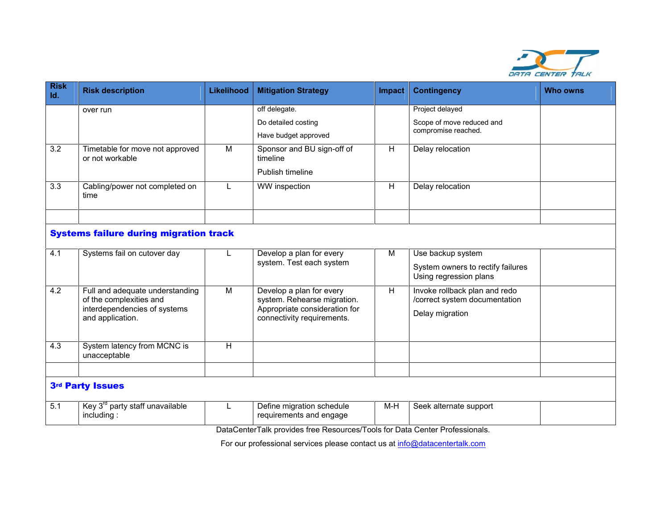

| <b>Risk</b><br>Id. | <b>Risk description</b>                                                                                        | <b>Likelihood</b> | <b>Mitigation Strategy</b>                                                                                             | <b>Impact</b>  | <b>Contingency</b>                                                                | <b>Who owns</b> |  |  |
|--------------------|----------------------------------------------------------------------------------------------------------------|-------------------|------------------------------------------------------------------------------------------------------------------------|----------------|-----------------------------------------------------------------------------------|-----------------|--|--|
|                    | over run                                                                                                       |                   | off delegate.                                                                                                          |                | Project delayed                                                                   |                 |  |  |
|                    |                                                                                                                |                   | Do detailed costing                                                                                                    |                | Scope of move reduced and                                                         |                 |  |  |
|                    |                                                                                                                |                   | Have budget approved                                                                                                   |                | compromise reached.                                                               |                 |  |  |
| $\overline{3.2}$   | Timetable for move not approved<br>or not workable                                                             | M                 | Sponsor and BU sign-off of<br>timeline                                                                                 | H              | Delay relocation                                                                  |                 |  |  |
|                    |                                                                                                                |                   | Publish timeline                                                                                                       |                |                                                                                   |                 |  |  |
| 3.3                | Cabling/power not completed on<br>time                                                                         |                   | WW inspection                                                                                                          | H              | Delay relocation                                                                  |                 |  |  |
|                    |                                                                                                                |                   |                                                                                                                        |                |                                                                                   |                 |  |  |
|                    | <b>Systems failure during migration track</b>                                                                  |                   |                                                                                                                        |                |                                                                                   |                 |  |  |
| 4.1                | Systems fail on cutover day                                                                                    |                   | Develop a plan for every<br>system. Test each system                                                                   | M              | Use backup system<br>System owners to rectify failures<br>Using regression plans  |                 |  |  |
| 4.2                | Full and adequate understanding<br>of the complexities and<br>interdependencies of systems<br>and application. | $\overline{M}$    | Develop a plan for every<br>system. Rehearse migration.<br>Appropriate consideration for<br>connectivity requirements. | $\overline{H}$ | Invoke rollback plan and redo<br>/correct system documentation<br>Delay migration |                 |  |  |
| 4.3                | System latency from MCNC is<br>unacceptable                                                                    | Н                 |                                                                                                                        |                |                                                                                   |                 |  |  |
|                    | 3rd Party Issues                                                                                               |                   |                                                                                                                        |                |                                                                                   |                 |  |  |
| 5.1                | Key 3 <sup>rd</sup> party staff unavailable<br>including:                                                      | L                 | Define migration schedule<br>requirements and engage                                                                   | $M-H$          | Seek alternate support                                                            |                 |  |  |
|                    |                                                                                                                |                   | DataCenterTalk provides free Resources/Tools for Data Center Professionals.                                            |                |                                                                                   |                 |  |  |
|                    | For our professional services please contact us at info@datacentertalk.com                                     |                   |                                                                                                                        |                |                                                                                   |                 |  |  |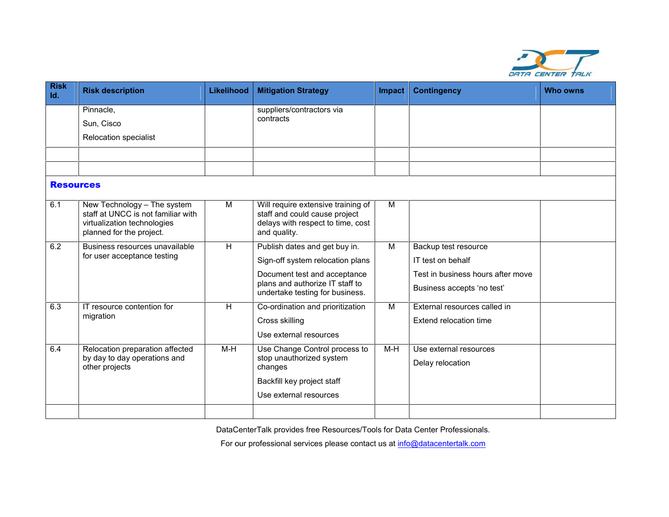

| <b>Risk</b><br>Id. | <b>Risk description</b>                                                                                                      | <b>Likelihood</b> | <b>Mitigation Strategy</b>                                                                                               | <b>Impact</b> | <b>Contingency</b>                                              | <b>Who owns</b> |
|--------------------|------------------------------------------------------------------------------------------------------------------------------|-------------------|--------------------------------------------------------------------------------------------------------------------------|---------------|-----------------------------------------------------------------|-----------------|
|                    | Pinnacle,                                                                                                                    |                   | suppliers/contractors via                                                                                                |               |                                                                 |                 |
|                    | Sun, Cisco                                                                                                                   |                   | contracts                                                                                                                |               |                                                                 |                 |
|                    | <b>Relocation specialist</b>                                                                                                 |                   |                                                                                                                          |               |                                                                 |                 |
|                    |                                                                                                                              |                   |                                                                                                                          |               |                                                                 |                 |
|                    |                                                                                                                              |                   |                                                                                                                          |               |                                                                 |                 |
| <b>Resources</b>   |                                                                                                                              |                   |                                                                                                                          |               |                                                                 |                 |
| 6.1                | New Technology - The system<br>staff at UNCC is not familiar with<br>virtualization technologies<br>planned for the project. | M                 | Will require extensive training of<br>staff and could cause project<br>delays with respect to time, cost<br>and quality. | M             |                                                                 |                 |
| 6.2                | Business resources unavailable<br>for user acceptance testing                                                                | H                 | Publish dates and get buy in.                                                                                            | M             | Backup test resource                                            |                 |
|                    |                                                                                                                              |                   | Sign-off system relocation plans                                                                                         |               | IT test on behalf                                               |                 |
|                    |                                                                                                                              |                   | Document test and acceptance<br>plans and authorize IT staff to<br>undertake testing for business.                       |               | Test in business hours after move<br>Business accepts 'no test' |                 |
| 6.3                | IT resource contention for                                                                                                   | H                 | Co-ordination and prioritization                                                                                         | M             | External resources called in                                    |                 |
|                    | migration                                                                                                                    |                   | Cross skilling                                                                                                           |               | Extend relocation time                                          |                 |
|                    |                                                                                                                              |                   | Use external resources                                                                                                   |               |                                                                 |                 |
| 6.4                | Relocation preparation affected<br>by day to day operations and<br>other projects                                            | $M-H$             | Use Change Control process to<br>stop unauthorized system<br>changes                                                     | $M-H$         | Use external resources<br>Delay relocation                      |                 |
|                    |                                                                                                                              |                   | Backfill key project staff                                                                                               |               |                                                                 |                 |
|                    |                                                                                                                              |                   | Use external resources                                                                                                   |               |                                                                 |                 |
|                    |                                                                                                                              |                   |                                                                                                                          |               |                                                                 |                 |
|                    |                                                                                                                              |                   | DataCenterTalk provides free Resources/Tools for Data Center Professionals.                                              |               |                                                                 |                 |
|                    |                                                                                                                              |                   | For our professional services please contact us at info@datacentertalk.com                                               |               |                                                                 |                 |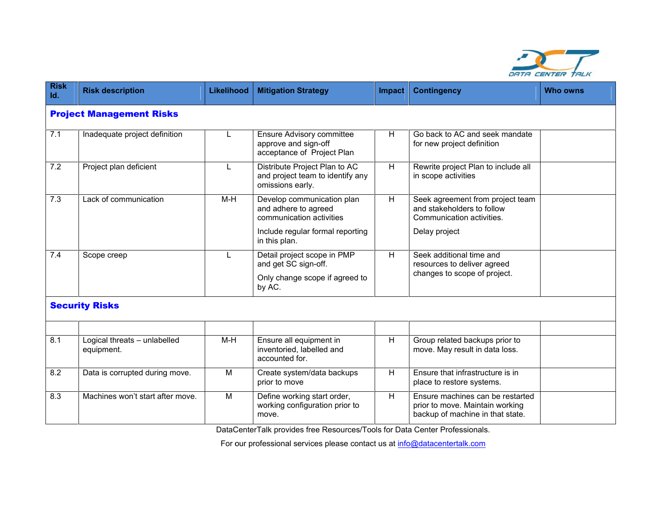

| <b>Risk</b><br>Id. | <b>Risk description</b>                                                    | <b>Likelihood</b>                                                                          | <b>Mitigation Strategy</b>                                                                  | <b>Impact</b> | <b>Contingency</b>                                                                                      | <b>Who owns</b> |  |  |
|--------------------|----------------------------------------------------------------------------|--------------------------------------------------------------------------------------------|---------------------------------------------------------------------------------------------|---------------|---------------------------------------------------------------------------------------------------------|-----------------|--|--|
|                    | <b>Project Management Risks</b>                                            |                                                                                            |                                                                                             |               |                                                                                                         |                 |  |  |
| 7.1                | Inadequate project definition                                              | L                                                                                          | <b>Ensure Advisory committee</b><br>approve and sign-off<br>acceptance of Project Plan      | H.            | Go back to AC and seek mandate<br>for new project definition                                            |                 |  |  |
| $\overline{7.2}$   | Project plan deficient                                                     | L                                                                                          | Distribute Project Plan to AC<br>and project team to identify any<br>omissions early.       | H             | Rewrite project Plan to include all<br>in scope activities                                              |                 |  |  |
| 7.3                | Lack of communication                                                      | H<br>M-H<br>Develop communication plan<br>and adhere to agreed<br>communication activities | Seek agreement from project team<br>and stakeholders to follow<br>Communication activities. |               |                                                                                                         |                 |  |  |
|                    |                                                                            |                                                                                            | Include regular formal reporting<br>in this plan.                                           |               | Delay project                                                                                           |                 |  |  |
| 7.4                | Scope creep                                                                | $\mathbf{L}$                                                                               | Detail project scope in PMP<br>and get SC sign-off.                                         | H             | Seek additional time and<br>resources to deliver agreed                                                 |                 |  |  |
|                    |                                                                            |                                                                                            | Only change scope if agreed to<br>by AC.                                                    |               | changes to scope of project.                                                                            |                 |  |  |
|                    | <b>Security Risks</b>                                                      |                                                                                            |                                                                                             |               |                                                                                                         |                 |  |  |
|                    |                                                                            |                                                                                            |                                                                                             |               |                                                                                                         |                 |  |  |
| 8.1                | Logical threats - unlabelled<br>equipment.                                 | $M-H$                                                                                      | Ensure all equipment in<br>inventoried, labelled and<br>accounted for.                      | H             | Group related backups prior to<br>move. May result in data loss.                                        |                 |  |  |
| 8.2                | Data is corrupted during move.                                             | M                                                                                          | Create system/data backups<br>prior to move                                                 | H             | Ensure that infrastructure is in<br>place to restore systems.                                           |                 |  |  |
| 8.3                | Machines won't start after move.                                           | M                                                                                          | Define working start order,<br>working configuration prior to<br>move.                      | H             | Ensure machines can be restarted<br>prior to move. Maintain working<br>backup of machine in that state. |                 |  |  |
|                    |                                                                            |                                                                                            | DataCenterTalk provides free Resources/Tools for Data Center Professionals.                 |               |                                                                                                         |                 |  |  |
|                    | For our professional services please contact us at info@datacentertalk.com |                                                                                            |                                                                                             |               |                                                                                                         |                 |  |  |